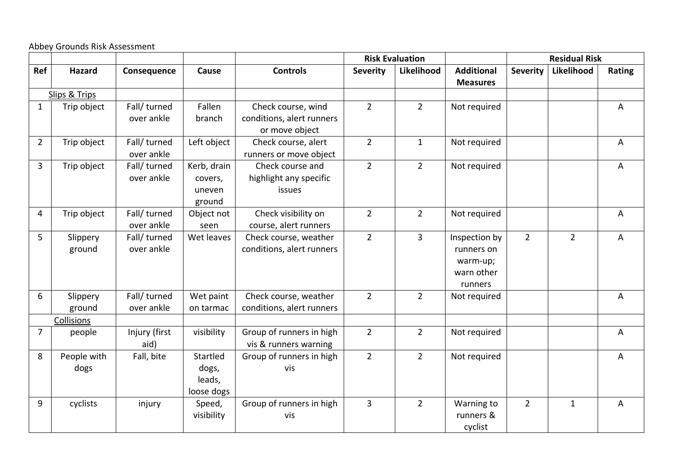Abbey Grounds Risk Assessment

|                |                     |                            |                                            |                                                      |                         | <b>Risk Evaluation</b> |                                                                  |                 | <b>Residual Risk</b> |        |
|----------------|---------------------|----------------------------|--------------------------------------------|------------------------------------------------------|-------------------------|------------------------|------------------------------------------------------------------|-----------------|----------------------|--------|
| Ref            | <b>Hazard</b>       | Consequence                | Cause                                      | <b>Controls</b>                                      | <b>Severity</b>         | Likelihood             | <b>Additional</b><br><b>Measures</b>                             | <b>Severity</b> | Likelihood           | Rating |
|                | Slips & Trips       |                            |                                            |                                                      |                         |                        |                                                                  |                 |                      |        |
| $\mathbf{1}$   | Trip object         | Fall/ turned               | Fallen                                     | Check course, wind                                   | $2^{\circ}$             | $\overline{2}$         | Not required                                                     |                 |                      | A      |
|                |                     | over ankle                 | branch                                     | conditions, alert runners<br>or move object          |                         |                        |                                                                  |                 |                      |        |
| $2^{\circ}$    | Trip object         | Fall/ turned<br>over ankle | Left object                                | Check course, alert<br>runners or move object        | $2^{\circ}$             | $\mathbf{1}$           | Not required                                                     |                 |                      | A      |
| $\mathbf{3}$   | Trip object         | Fall/ turned<br>over ankle | Kerb, drain<br>covers,<br>uneven<br>ground | Check course and<br>highlight any specific<br>issues | $2^{\circ}$             | $\overline{2}$         | Not required                                                     |                 |                      | A      |
| 4              | Trip object         | Fall/ turned<br>over ankle | Object not<br>seen                         | Check visibility on<br>course, alert runners         | $\overline{2}$          | $\overline{2}$         | Not required                                                     |                 |                      | A      |
| 5              | Slippery<br>ground  | Fall/ turned<br>over ankle | Wet leaves                                 | Check course, weather<br>conditions, alert runners   | $\overline{2}$          | $\overline{3}$         | Inspection by<br>runners on<br>warm-up;<br>warn other<br>runners | $\overline{2}$  | $\overline{2}$       | A      |
| 6              | Slippery<br>ground  | Fall/ turned<br>over ankle | Wet paint<br>on tarmac                     | Check course, weather<br>conditions, alert runners   | $\overline{2}$          | $\overline{2}$         | Not required                                                     |                 |                      | A      |
|                | Collisions          |                            |                                            |                                                      |                         |                        |                                                                  |                 |                      |        |
| $\overline{7}$ | people              | Injury (first<br>aid)      | visibility                                 | Group of runners in high<br>vis & runners warning    | $\overline{2}$          | $\overline{2}$         | Not required                                                     |                 |                      | A      |
| 8              | People with<br>dogs | Fall, bite                 | Startled<br>dogs,<br>leads,<br>loose dogs  | Group of runners in high<br>vis                      | $2^{\circ}$             | $\overline{2}$         | Not required                                                     |                 |                      | A      |
| 9              | cyclists            | injury                     | Speed,<br>visibility                       | Group of runners in high<br>vis                      | $\overline{\mathbf{3}}$ | $\overline{2}$         | Warning to<br>runners &<br>cyclist                               | $\overline{2}$  | $\mathbf{1}$         | A      |